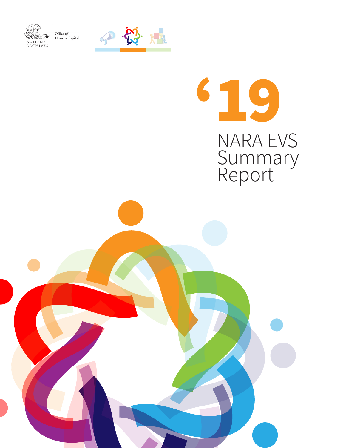

Office of  $$\tt Human\, Capital}$$ 



# '19 NARA EVS Summary Report

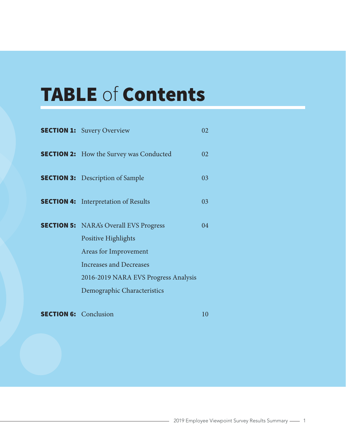## TABLE of Contents

| <b>SECTION 1:</b> Suvery Overview              | 02      |
|------------------------------------------------|---------|
| <b>SECTION 2:</b> How the Survey was Conducted | 02      |
| <b>SECTION 3:</b> Description of Sample        | 03      |
| <b>SECTION 4:</b> Interpretation of Results    | 03      |
| <b>SECTION 5:</b> NARA's Overall EVS Progress  | $^{04}$ |
| Positive Highlights                            |         |
| Areas for Improvement                          |         |
| Increases and Decreases                        |         |
| 2016-2019 NARA EVS Progress Analysis           |         |
| Demographic Characteristics                    |         |
|                                                |         |

**SECTION 6:** Conclusion 10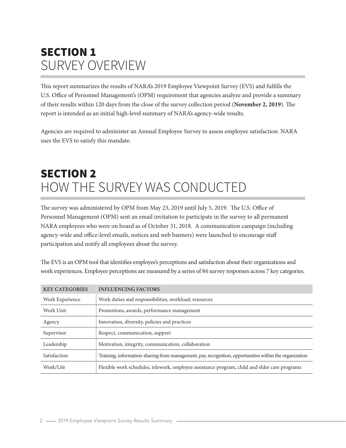### SECTION 1 SURVEY OVERVIEW

This report summarizes the results of NARA's 2019 Employee Viewpoint Survey (EVS) and fulfills the U.S. Office of Personnel Management's (OPM) requirement that agencies analyze and provide a summary of their results within 120 days from the close of the survey collection period (**November 2, 2019**). The report is intended as an initial high-level summary of NARA's agency-wide results.

Agencies are required to administer an Annual Employee Survey to assess employee satisfaction. NARA uses the EVS to satisfy this mandate.

### SECTION 2 HOW THE SURVEY WAS CONDUCTED

The survey was administered by OPM from May 23, 2019 until July 5, 2019. The U.S. Office of Personnel Management (OPM) sent an email invitation to participate in the survey to all permanent NARA employees who were on board as of October 31, 2018. A communication campaign (including agency-wide and office-level emails, notices and web banners) were launched to encourage staff participation and notify all employees about the survey.

The EVS is an OPM tool that identifies employee's perceptions and satisfaction about their organizations and work experiences. Employee perceptions are measured by a series of 84 survey responses across 7 key categories.

| <b>KEY CATEGORIES</b> | <b>INFLUENCING FACTORS</b>                                                                             |
|-----------------------|--------------------------------------------------------------------------------------------------------|
| Work Experience       | Work duties and responsibilities, workload, resources                                                  |
| Work Unit             | Promotions, awards, performance management                                                             |
| Agency                | Innovation, diversity, policies and practices                                                          |
| Supervisor            | Respect, communication, support                                                                        |
| Leadership            | Motivation, integrity, communication, collaboration                                                    |
| Satisfaction          | Training, information-sharing from management, pay, recognition, opportunities within the organization |
| Work/Life             | Flexible work schedules, telework, employee assistance program, child and elder care programs          |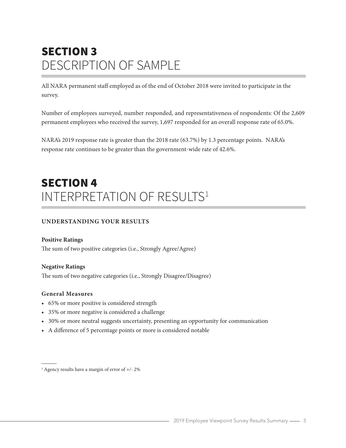### SECTION 3 DESCRIPTION OF SAMPLE

All NARA permanent staff employed as of the end of October 2018 were invited to participate in the survey.

Number of employees surveyed, number responded, and representativeness of respondents: Of the 2,609 permanent employees who received the survey, 1,697 responded for an overall response rate of 65.0%.

NARA's 2019 response rate is greater than the 2018 rate (63.7%) by 1.3 percentage points. NARA's response rate continues to be greater than the government-wide rate of 42.6%.

### SECTION 4 INTERPRETATION OF RESULTS<sup>1</sup>

#### **UNDERSTANDING YOUR RESULTS**

#### **Positive Ratings**

The sum of two positive categories (i.e., Strongly Agree/Agree)

#### **Negative Ratings**

The sum of two negative categories (i.e., Strongly Disagree/Disagree)

#### **General Measures**

- 65% or more positive is considered strength
- 35% or more negative is considered a challenge
- 30% or more neutral suggests uncertainty, presenting an opportunity for communication
- A difference of 5 percentage points or more is considered notable

<sup>&</sup>lt;sup>1</sup> Agency results have a margin of error of +/- 2%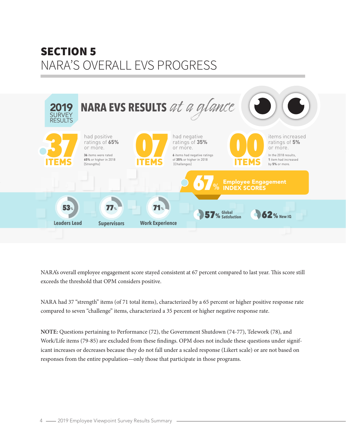### SECTION 5 NARA'S OVERALL EVS PROGRESS



NARA's overall employee engagement score stayed consistent at 67 percent compared to last year. This score still exceeds the threshold that OPM considers positive.

NARA had 37 "strength" items (of 71 total items), characterized by a 65 percent or higher positive response rate compared to seven "challenge" items, characterized a 35 percent or higher negative response rate.

**NOTE:** Questions pertaining to Performance (72), the Government Shutdown (74-77), Telework (78), and Work/Life items (79-85) are excluded from these findings. OPM does not include these questions under significant increases or decreases because they do not fall under a scaled response (Likert scale) or are not based on responses from the entire population—only those that participate in those programs.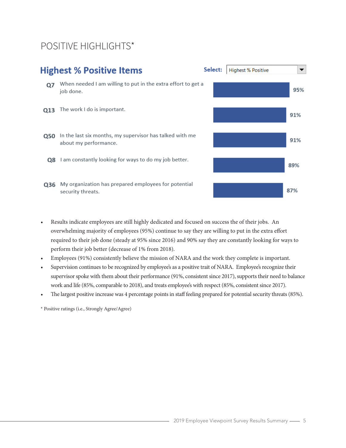### POSITIVE HIGHLIGHTS\*



- Results indicate employees are still highly dedicated and focused on success the of their jobs. An overwhelming majority of employees (95%) continue to say they are willing to put in the extra effort required to their job done (steady at 95% since 2016) and 90% say they are constantly looking for ways to perform their job better (decrease of 1% from 2018).
- Employees (91%) consistently believe the mission of NARA and the work they complete is important.
- Supervision continues to be recognized by employee's as a positive trait of NARA. Employee's recognize their supervisor spoke with them about their performance (91%, consistent since 2017), supports their need to balance work and life (85%, comparable to 2018), and treats employee's with respect (85%, consistent since 2017).
- The largest positive increase was 4 percentage points in staff feeling prepared for potential security threats (85%).
- \* Positive ratings (i.e., Strongly Agree/Agree)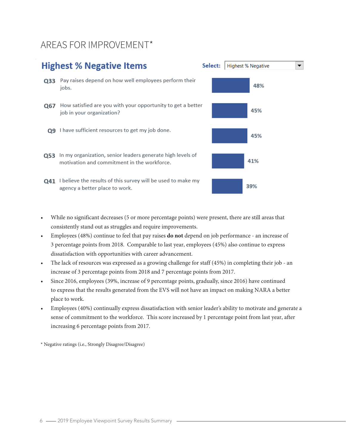### AREAS FOR IMPROVEMENT\*

### **Highest % Negative Items** Select: | Highest % Negative  $\overline{\phantom{0}}$ 033 Pay raises depend on how well employees perform their 48% jobs. Q67 How satisfied are you with your opportunity to get a better 45% job in your organization? Q9 I have sufficient resources to get my job done. 45% 053 In my organization, senior leaders generate high levels of 41% motivation and commitment in the workforce. Q41 I believe the results of this survey will be used to make my 39% agency a better place to work.

- While no significant decreases (5 or more percentage points) were present, there are still areas that consistently stand out as struggles and require improvements.
- Employees (48%) continue to feel that pay raises **do not** depend on job performance an increase of 3 percentage points from 2018. Comparable to last year, employees (45%) also continue to express dissatisfaction with opportunities with career advancement.
- The lack of resources was expressed as a growing challenge for staff (45%) in completing their job an increase of 3 percentage points from 2018 and 7 percentage points from 2017.
- Since 2016, employees (39%, increase of 9 percentage points, gradually, since 2016) have continued to express that the results generated from the EVS will not have an impact on making NARA a better place to work.
- Employees (40%) continually express dissatisfaction with senior leader's ability to motivate and generate a sense of commitment to the workforce. This score increased by 1 percentage point from last year, after increasing 6 percentage points from 2017.

\* Negative ratings (i.e., Strongly Disagree/Disagree)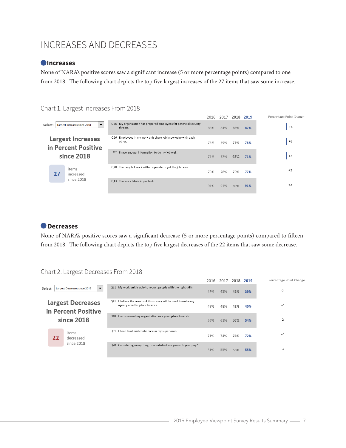### INCREASES AND DECREASES

#### **Increases**

None of NARA's positive scores saw a significant increase (5 or more percentage points) compared to one from 2018. The following chart depicts the top five largest increases of the 27 items that saw some increase.

#### Chart 1. Largest Increases From 2018

|            |                                                 |                                                                       |                                                                   | 2016 | 2017 | 2018 2019 |     | Percentage Point Change |
|------------|-------------------------------------------------|-----------------------------------------------------------------------|-------------------------------------------------------------------|------|------|-----------|-----|-------------------------|
| Select:    | Largest Increases since 2018<br>▼               | threats.                                                              | Q36 My organization has prepared employees for potential security | 85%  | 84%  | 83%       | 87% | $+4$                    |
|            | <b>Largest Increases</b><br>in Percent Positive | Q26 Employees in my work unit share job knowledge with each<br>other. |                                                                   | 75%  | 79%  | 75%       | 78% | $+3$                    |
| since 2018 |                                                 | Q2 I have enough information to do my job well.                       |                                                                   | 71%  | 72%  | 68%       | 71% | $+3$                    |
| 27         | items<br>increased                              | The people I work with cooperate to get the job done.<br>Q20          |                                                                   | 75%  | 78%  | 75%       | 77% | $+2$                    |
|            | since 2018                                      | The work I do is important.<br>Q13                                    |                                                                   | 91%  | 91%  | 89%       | 91% | $+2$                    |

### **Decreases**

None of NARA's positive scores saw a significant decrease (5 or more percentage points) compared to fifteen from 2018. The following chart depicts the top five largest decreases of the 22 items that saw some decrease.

### Chart 2. Largest Decreases From 2018

|                                                               |    |                                                          |                                                                                                       | 2016 | 2017 | 2018 2019 |     | Percentage Point Change |
|---------------------------------------------------------------|----|----------------------------------------------------------|-------------------------------------------------------------------------------------------------------|------|------|-----------|-----|-------------------------|
| Select:                                                       |    | Largest Decreases since 2018<br>$\overline{\phantom{a}}$ | Q21 My work unit is able to recruit people with the right skills.                                     | 48%  | 43%  | 42%       | 39% | $-3$                    |
| <b>Largest Decreases</b><br>in Percent Positive<br>since 2018 |    |                                                          | I believe the results of this survey will be used to make my<br>Q41<br>agency a better place to work. | 49%  | 48%  | 42%       | 40% | $-2$                    |
|                                                               |    |                                                          | I recommend my organization as a good place to work.<br>Q40                                           | 56%  | 61%  | 56%       | 54% | $-2$                    |
|                                                               | 22 | items<br>decreased                                       | I have trust and confidence in my supervisor.<br>Q51                                                  | 71%  | 74%  | 74%       | 72% | $-2$                    |
|                                                               |    | since 2018                                               | Considering everything, how satisfied are you with your pay?<br>Q70                                   | 51%  | 55%  | 56%       | 55% | $-1$                    |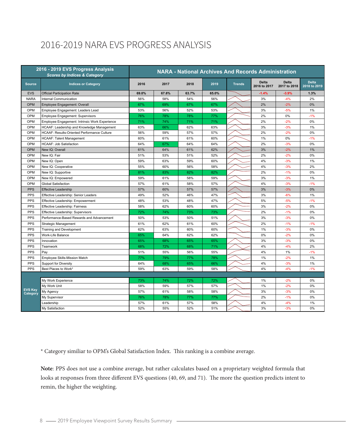### 2016-2019 NARA EVS PROGRESS ANALYSIS

|                            | 2016 - 2019 EVS Progress Analysis<br><b>NARA - National Archives And Records Administration</b><br><b>Scores by Indices &amp; Category</b> |       |       |       |       |               |                              |                              |                              |
|----------------------------|--------------------------------------------------------------------------------------------------------------------------------------------|-------|-------|-------|-------|---------------|------------------------------|------------------------------|------------------------------|
| <b>Source</b>              | <b>Indices or Category</b>                                                                                                                 | 2016  | 2017  | 2018  | 2019  | <b>Trends</b> | <b>Delta</b><br>2016 to 2017 | <b>Delta</b><br>2017 to 2018 | <b>Delta</b><br>2018 to 2019 |
| <b>EVS</b>                 | <b>Official Participation Rate</b>                                                                                                         | 69.0% | 67.6% | 63.7% | 65.0% |               | $-1.4%$                      | $-3.9%$                      | 1.3%                         |
| <b>NARA</b>                | <b>Internal Communication</b>                                                                                                              | 56%   | 58%   | 54%   | 56%   |               | 3%                           | $-4%$                        | 2%                           |
| OPM                        | Employee Engagement: Overall                                                                                                               | 67%   | 69%   | 67%   | 67%   |               | 2%                           | $-2%$                        | 0%                           |
| OPM                        | Employee Engagement: Leaders Lead                                                                                                          | 53%   | 56%   | 52%   | 53%   |               | 3%                           | $-5%$                        | 1%                           |
| OPM                        | Employee Engagement: Supervisors                                                                                                           | 76%   | 78%   | 78%   | 77%   |               | 2%                           | 0%                           | $-1%$                        |
| OPM                        | Employee Engagement: Intrinsic Work Experience                                                                                             | 71%   | 74%   | 71%   | 71%   |               | 2%                           | $-2%$                        | 0%                           |
| OPM                        | HCAAF: Leadership and Knowledge Management                                                                                                 | 63%   | 66%   | 62%   | 63%   |               | 3%                           | $-3%$                        | 1%                           |
| OPM                        | HCAAF: Results-Oriented Performance Culture                                                                                                | 56%   | 59%   | 57%   | 57%   |               | 2%                           | $-2%$                        | 0%                           |
| OPM                        | <b>HCAAF: Talent Management</b>                                                                                                            | 60%   | 61%   | 61%   | 60%   |               | 1%                           | 0%                           | $-1%$                        |
| OPM                        | HCAAF: Job Satisfaction                                                                                                                    | 64%   | 67%   | 64%   | 64%   |               | 2%                           | $-3%$                        | 0%                           |
| OPM                        | New IQ: Overall                                                                                                                            | 61%   | 64%   | 61%   | 62%   |               | 3%                           | $-2%$                        | 1%                           |
| OPM                        | New IQ: Fair                                                                                                                               | 51%   | 53%   | 51%   | 52%   |               | 2%                           | $-2%$                        | 0%                           |
| OPM                        | New IQ: Open                                                                                                                               | 59%   | 63%   | 59%   | 60%   |               | 4%                           | $-3%$                        | 1%                           |
| OPM                        | New IQ: Cooperative                                                                                                                        | 55%   | 60%   | 56%   | 58%   |               | 4%                           | $-3%$                        | 2%                           |
| OPM                        | New IQ: Supportive                                                                                                                         | 81%   | 83%   | 82%   | 82%   |               | 2%                           | $-1%$                        | 0%                           |
| OPM                        | New IQ: Empowered                                                                                                                          | 59%   | 61%   | 58%   | 59%   |               | 3%                           | $-3%$                        | 1%                           |
| OPM                        | <b>Global Satisfaction</b>                                                                                                                 | 57%   | 61%   | 58%   | 57%   |               | 4%                           | $-3%$                        | $-1%$                        |
| <b>PPS</b>                 | <b>Effective Leadership</b>                                                                                                                | 57%   | 60%   | 57%   | 57%   |               | 3%                           | $-3%$                        | 0%                           |
| <b>PPS</b>                 | Effective Leadership: Senior Leaders                                                                                                       | 49%   | 52%   | 46%   | 47%   |               | 3%                           | $-6%$                        | 1%                           |
| <b>PPS</b>                 | Effective Leadership: Empowerment                                                                                                          | 48%   | 53%   | 48%   | 47%   |               | 5%                           | $-5%$                        | $-1%$                        |
| <b>PPS</b>                 | Effective Leadership: Fairness                                                                                                             | 58%   | 62%   | 60%   | 60%   |               | 3%                           | $-2%$                        | 0%                           |
| PPS                        | Effective Leadership: Supervisors                                                                                                          | 72%   | 74%   | 73%   | 73%   |               | 2%                           | $-1%$                        | 0%                           |
| <b>PPS</b>                 | Performance-Based Rewards and Advancement                                                                                                  | 50%   | 53%   | 50%   | 51%   |               | 3%                           | $-3%$                        | 0%                           |
| <b>PPS</b>                 | Strategic Management                                                                                                                       | 61%   | 62%   | 61%   | 60%   |               | 2%                           | $-1%$                        | $-1%$                        |
| <b>PPS</b>                 | Training and Development                                                                                                                   | 62%   | 63%   | 60%   | 60%   |               | 1%                           | $-3%$                        | 0%                           |
| <b>PPS</b>                 | Work-Life Balance                                                                                                                          | 65%   | 64%   | 62%   | 62%   |               | 0%                           | $-2%$                        | 0%                           |
| <b>PPS</b>                 | Innovation                                                                                                                                 | 65%   | 68%   | 65%   | 65%   |               | 3%                           | $-3%$                        | 0%                           |
| <b>PPS</b>                 | Teamwork                                                                                                                                   | 68%   | 72%   | 68%   | 71%   |               | 4%                           | $-4%$                        | 2%                           |
| <b>PPS</b>                 | Pay                                                                                                                                        | 51%   | 55%   | 56%   | 55%   |               | 4%                           | 1%                           | $-1%$                        |
| <b>PPS</b>                 | Employee Skills-Mission Match                                                                                                              | 77%   | 79%   | 77%   | 78%   |               | 1%                           | $-2%$                        | 1%                           |
| <b>PPS</b>                 | Support for Diversity                                                                                                                      | 64%   | 68%   | 65%   | 66%   |               | 4%                           | $-3%$                        | 1%                           |
| <b>PPS</b>                 | Best Places to Work*                                                                                                                       | 59%   | 63%   | 59%   | 58%   |               | 4%                           | $-4%$                        | $-1%$                        |
|                            |                                                                                                                                            |       |       |       |       |               |                              |                              |                              |
|                            | My Work Experience                                                                                                                         | 73%   | 74%   | 72%   | 72%   |               | 1%                           | $-2%$                        | $0\%$                        |
|                            | My Work Unit                                                                                                                               | 58%   | 59%   | 57%   | 57%   |               | 1%                           | $-2%$                        | $0\%$                        |
| <b>EVS Key</b><br>Category | My Agency                                                                                                                                  | 57%   | 61%   | 58%   | 58%   |               | 3%                           | $-3%$                        | $0\%$                        |
|                            | My Supervisor                                                                                                                              | 76%   | 78%   | 77%   | 77%   |               | 2%                           | $-1%$                        | 0%                           |
|                            | Leadership                                                                                                                                 | 57%   | 61%   | 57%   | 58%   |               | 4%                           | $-4%$                        | 1%                           |
|                            | My Satisfaction                                                                                                                            | 52%   | 55%   | 52%   | 51%   |               | 3%                           | $-3%$                        | 0%                           |

\* Category similiar to OPM's Global Satisfaction Index. This ranking is a combine average.

**Note**: PPS does not use a combine average, but rather calculates based on a proprietary weighted formula that looks at responses from three different EVS questions (40, 69, and 71). The more the question predicts intent to remin, the higher the weighting.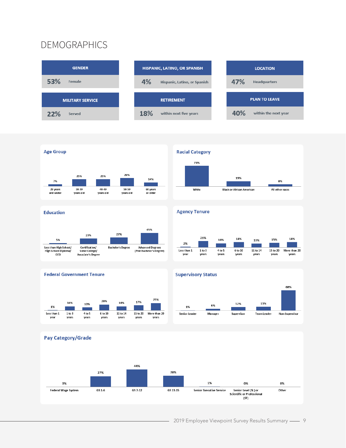### DEMOGRAPHICS



















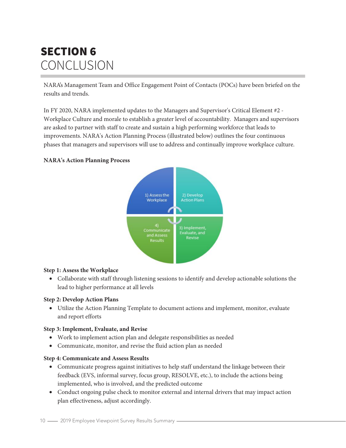### SECTION 6 CONCLUSION

NARA's Management Team and Office Engagement Point of Contacts (POCs) have been briefed on the results and trends.

In FY 2020, NARA implemented updates to the Managers and Supervisor's Critical Element #2 - Workplace Culture and morale to establish a greater level of accountability. Managers and supervisors are asked to partner with staff to create and sustain a high performing workforce that leads to improvements. NARA's Action Planning Process (illustrated below) outlines the four continuous phases that managers and supervisors will use to address and continually improve workplace culture.

#### **NARA's Action Planning Process**



#### **Step 1: Assess the Workplace**

• Collaborate with staff through listening sessions to identify and develop actionable solutions the lead to higher performance at all levels

#### **Step 2: Develop Action Plans**

• Utilize the Action Planning Template to document actions and implement, monitor, evaluate and report efforts

#### **Step 3: Implement, Evaluate, and Revise**

- Work to implement action plan and delegate responsibilities as needed
- Communicate, monitor, and revise the fluid action plan as needed

#### **Step 4: Communicate and Assess Results**

- Communicate progress against initiatives to help staff understand the linkage between their feedback (EVS, informal survey, focus group, RESOLVE, etc.), to include the actions being implemented, who is involved, and the predicted outcome
- Conduct ongoing pulse check to monitor external and internal drivers that may impact action plan effectiveness, adjust accordingly.